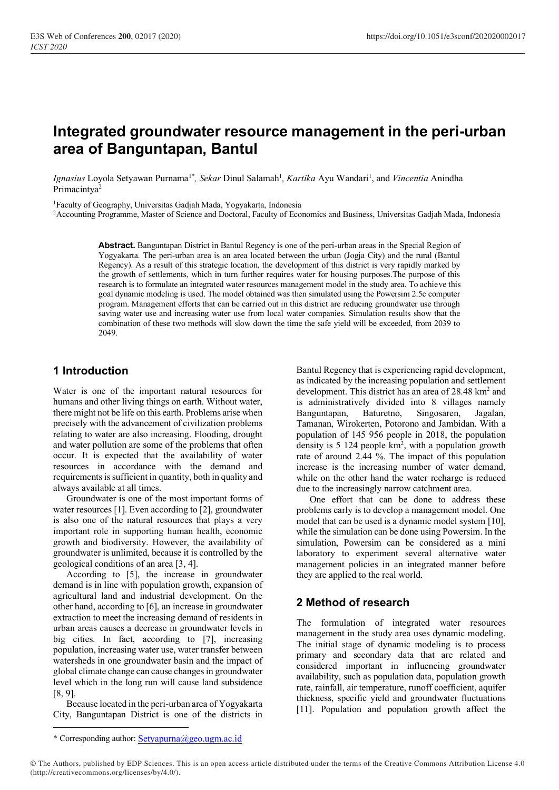# **Integrated groundwater resource management in the peri-urban area of Banguntapan, Bantul**

Ignasius Loyola Setyawan Purnama<sup>1\*</sup>, Sekar Dinul Salamah<sup>1</sup>, Kartika Ayu Wandari<sup>1</sup>, and *Vincentia* Anindha Primacintya<sup>2</sup>

<sup>1</sup>Faculty of Geography, Universitas Gadjah Mada, Yogyakarta, Indonesia

<sup>2</sup> Accounting Programme, Master of Science and Doctoral, Faculty of Economics and Business, Universitas Gadjah Mada, Indonesia

**Abstract.** Banguntapan District in Bantul Regency is one of the peri-urban areas in the Special Region of Yogyakarta. The peri-urban area is an area located between the urban (Jogja City) and the rural (Bantul Regency). As a result of this strategic location, the development of this district is very rapidly marked by the growth of settlements, which in turn further requires water for housing purposes.The purpose of this research is to formulate an integrated water resources management model in the study area. To achieve this goal dynamic modeling is used. The model obtained was then simulated using the Powersim 2.5c computer program. Management efforts that can be carried out in this district are reducing groundwater use through saving water use and increasing water use from local water companies. Simulation results show that the combination of these two methods will slow down the time the safe yield will be exceeded, from 2039 to 2049.

### **1 Introduction**

Water is one of the important natural resources for humans and other living things on earth. Without water, there might not be life on this earth. Problems arise when precisely with the advancement of civilization problems relating to water are also increasing. Flooding, drought and water pollution are some of the problems that often occur. It is expected that the availability of water resources in accordance with the demand and requirements is sufficient in quantity, both in quality and always available at all times.

Groundwater is one of the most important forms of water resources [1]. Even according to [2], groundwater is also one of the natural resources that plays a very important role in supporting human health, economic growth and biodiversity. However, the availability of groundwater is unlimited, because it is controlled by the geological conditions of an area [3, 4].

According to [5], the increase in groundwater demand is in line with population growth, expansion of agricultural land and industrial development. On the other hand, according to [6], an increase in groundwater extraction to meet the increasing demand of residents in urban areas causes a decrease in groundwater levels in big cities. In fact, according to [7], increasing population, increasing water use, water transfer between watersheds in one groundwater basin and the impact of global climate change can cause changes in groundwater level which in the long run will cause land subsidence [8, 9].

Because located in the peri-urban area of Yogyakarta City, Banguntapan District is one of the districts in

Bantul Regency that is experiencing rapid development, as indicated by the increasing population and settlement development. This district has an area of 28.48 km<sup>2</sup> and is administratively divided into 8 villages namely Banguntapan, Baturetno, Singosaren, Jagalan, Tamanan, Wirokerten, Potorono and Jambidan. With a population of 145 956 people in 2018, the population density is  $5\ 124$  people  $km^2$ , with a population growth rate of around 2.44 %. The impact of this population increase is the increasing number of water demand, while on the other hand the water recharge is reduced due to the increasingly narrow catchment area.

One effort that can be done to address these problems early is to develop a management model. One model that can be used is a dynamic model system [10], while the simulation can be done using Powersim. In the simulation, Powersim can be considered as a mini laboratory to experiment several alternative water management policies in an integrated manner before they are applied to the real world.

### **2 Method of research**

The formulation of integrated water resources management in the study area uses dynamic modeling. The initial stage of dynamic modeling is to process primary and secondary data that are related and considered important in influencing groundwater availability, such as population data, population growth rate, rainfall, air temperature, runoff coefficient, aquifer thickness, specific yield and groundwater fluctuations [11]. Population and population growth affect the

<sup>\*</sup> Corresponding author: [Setyapurna@geo.ugm.ac.id](mailto:Setyapurna@geo.ugm.ac.id)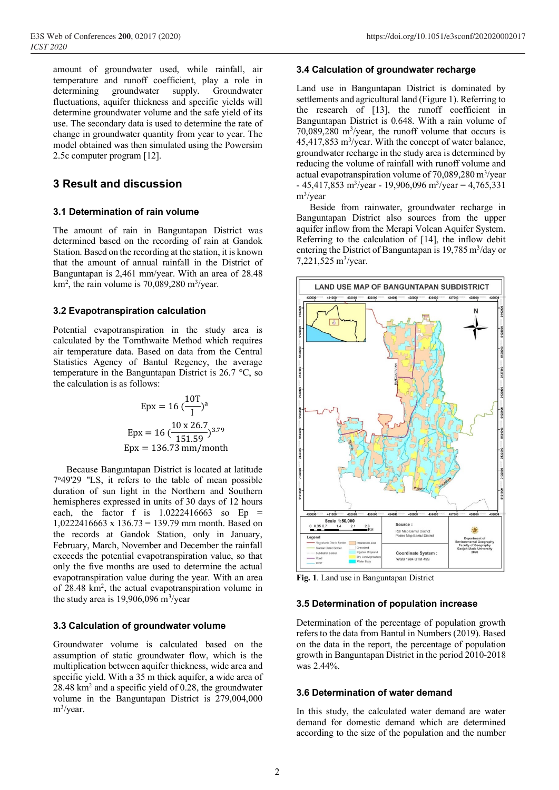amount of groundwater used, while rainfall, air temperature and runoff coefficient, play a role in determining groundwater supply. Groundwater fluctuations, aquifer thickness and specific yields will determine groundwater volume and the safe yield of its use. The secondary data is used to determine the rate of change in groundwater quantity from year to year. The model obtained was then simulated using the Powersim 2.5c computer program [12].

### **3 Result and discussion**

#### **3.1 Determination of rain volume**

The amount of rain in Banguntapan District was determined based on the recording of rain at Gandok Station. Based on the recording at the station, it is known that the amount of annual rainfall in the District of Banguntapan is 2,461 mm/year. With an area of 28.48  $km<sup>2</sup>$ , the rain volume is 70,089,280 m<sup>3</sup>/year.

#### **3.2 Evapotranspiration calculation**

Potential evapotranspiration in the study area is calculated by the Tornthwaite Method which requires air temperature data. Based on data from the Central Statistics Agency of Bantul Regency, the average temperature in the Banguntapan District is 26.7 °C, so the calculation is as follows:

$$
Epx = 16 \left(\frac{10T}{I}\right)^a
$$
  
 
$$
Epx = 16 \left(\frac{10 \times 26.7}{151.59}\right)^{3.79}
$$
  
 
$$
Epx = 136.73 \text{ mm/month}
$$

Because Banguntapan District is located at latitude 7 <sup>o</sup>49'29 "LS, it refers to the table of mean possible duration of sun light in the Northern and Southern hemispheres expressed in units of 30 days of 12 hours each, the factor f is  $1.0222416663$  so Ep = 1,0222416663 x 136.73 = 139.79 mm month. Based on the records at Gandok Station, only in January, February, March, November and December the rainfall exceeds the potential evapotranspiration value, so that only the five months are used to determine the actual evapotranspiration value during the year. With an area of 28.48 km<sup>2</sup>, the actual evapotranspiration volume in the study area is  $19,906,096$  m<sup>3</sup>/year

#### **3.3 Calculation of groundwater volume**

Groundwater volume is calculated based on the assumption of static groundwater flow, which is the multiplication between aquifer thickness, wide area and specific yield. With a 35 m thick aquifer, a wide area of 28.48 km<sup>2</sup> and a specific yield of 0.28, the groundwater volume in the Banguntapan District is 279,004,000 m<sup>3</sup>/year.

#### **3.4 Calculation of groundwater recharge**

Land use in Banguntapan District is dominated by settlements and agricultural land (Figure 1). Referring to the research of [13], the runoff coefficient in Banguntapan District is 0.648. With a rain volume of 70,089,280 m<sup>3</sup> /year, the runoff volume that occurs is  $45,417,853$  m<sup>3</sup>/year. With the concept of water balance, groundwater recharge in the study area is determined by reducing the volume of rainfall with runoff volume and actual evapotranspiration volume of 70,089,280 m<sup>3</sup>/year  $-45,417,853 \text{ m}^3/\text{year} - 19,906,096 \text{ m}^3/\text{year} = 4,765,331$ m<sup>3</sup> /year

Beside from rainwater, groundwater recharge in Banguntapan District also sources from the upper aquifer inflow from the Merapi Volcan Aquifer System. Referring to the calculation of [14], the inflow debit entering the District of Banguntapan is  $19,785 \text{ m}^3/\text{day}$  or 7,221,525 m<sup>3</sup>/year.



**Fig. 1**. Land use in Banguntapan District

#### **3.5 Determination of population increase**

Determination of the percentage of population growth refers to the data from Bantul in Numbers (2019). Based on the data in the report, the percentage of population growth in Banguntapan District in the period 2010-2018 was 2.44%.

#### **3.6 Determination of water demand**

In this study, the calculated water demand are water demand for domestic demand which are determined according to the size of the population and the number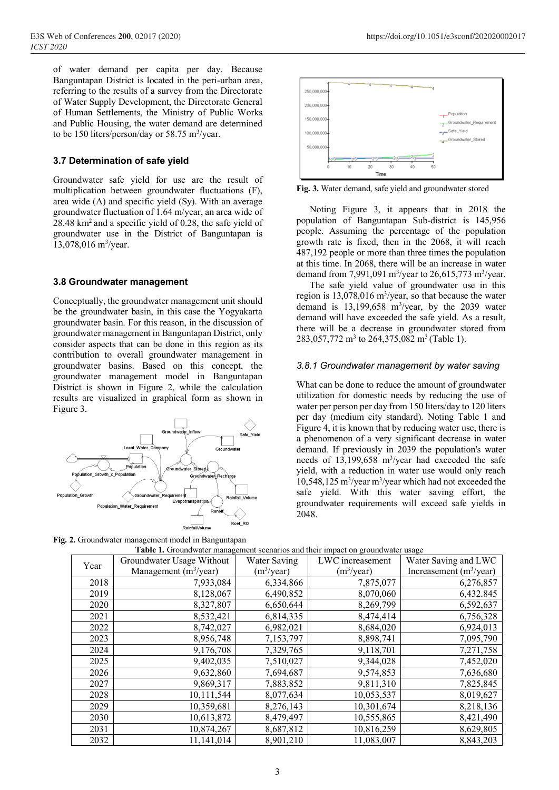of water demand per capita per day. Because Banguntapan District is located in the peri-urban area, referring to the results of a survey from the Directorate of Water Supply Development, the Directorate General of Human Settlements, the Ministry of Public Works and Public Housing, the water demand are determined to be 150 liters/person/day or 58.75  $\text{m}^3\text{/year}$ .

#### **3.7 Determination of safe yield**

Groundwater safe yield for use are the result of multiplication between groundwater fluctuations (F), area wide (A) and specific yield (Sy). With an average groundwater fluctuation of 1.64 m/year, an area wide of  $28.48 \text{ km}^2$  and a specific yield of 0.28, the safe yield of groundwater use in the District of Banguntapan is 13,078,016 m<sup>3</sup>/year.

#### **3.8 Groundwater management**

Conceptually, the groundwater management unit should be the groundwater basin, in this case the Yogyakarta groundwater basin. For this reason, in the discussion of groundwater management in Banguntapan District, only consider aspects that can be done in this region as its contribution to overall groundwater management in groundwater basins. Based on this concept, the groundwater management model in Banguntapan District is shown in Figure 2, while the calculation results are visualized in graphical form as shown in Figure 3.



**Fig. 2.** Groundwater management model in Banguntapan



**Fig. 3.** Water demand, safe yield and groundwater stored

Noting Figure 3, it appears that in 2018 the population of Banguntapan Sub-district is 145,956 people. Assuming the percentage of the population growth rate is fixed, then in the 2068, it will reach 487,192 people or more than three times the population at this time. In 2068, there will be an increase in water demand from 7,991,091 m<sup>3</sup>/year to 26,615,773 m<sup>3</sup>/year.

The safe yield value of groundwater use in this region is  $13,078,016$  m<sup>3</sup>/year, so that because the water demand is  $13,199,658$  m<sup>3</sup>/year, by the 2039 water demand will have exceeded the safe yield. As a result, there will be a decrease in groundwater stored from 283,057,772 m<sup>3</sup> to 264,375,082 m<sup>3</sup> (Table 1).

#### *3.8.1 Groundwater management by water saving*

What can be done to reduce the amount of groundwater utilization for domestic needs by reducing the use of water per person per day from 150 liters/day to 120 liters per day (medium city standard). Noting Table 1 and Figure 4, it is known that by reducing water use, there is a phenomenon of a very significant decrease in water demand. If previously in 2039 the population's water needs of 13,199,658 m<sup>3</sup>/year had exceeded the safe yield, with a reduction in water use would only reach 10,548,125 m<sup>3</sup> /year m<sup>3</sup> /year which had not exceeded the safe yield. With this water saving effort, the groundwater requirements will exceed safe yields in 2048.

| <b>Table 1.</b> Oroundwater management scenarios and their impact on groundwater usage |                           |               |                  |                            |  |  |  |  |
|----------------------------------------------------------------------------------------|---------------------------|---------------|------------------|----------------------------|--|--|--|--|
| Year                                                                                   | Groundwater Usage Without | Water Saving  | LWC increasement | Water Saving and LWC       |  |  |  |  |
|                                                                                        | Management $(m^3$ /year)  | $(m^3$ /year) | $(m^3$ /year)    | Increasement $(m^3$ /year) |  |  |  |  |
| 2018                                                                                   | 7,933,084                 | 6,334,866     | 7,875,077        | 6,276,857                  |  |  |  |  |
| 2019                                                                                   | 8,128,067                 | 6,490,852     | 8,070,060        | 6,432.845                  |  |  |  |  |
| 2020                                                                                   | 8,327,807                 | 6,650,644     | 8,269,799        | 6,592,637                  |  |  |  |  |
| 2021                                                                                   | 8,532,421                 | 6,814,335     | 8,474,414        | 6,756,328                  |  |  |  |  |
| 2022                                                                                   | 8,742,027                 | 6,982,021     | 8,684,020        | 6,924,013                  |  |  |  |  |
| 2023                                                                                   | 8,956,748                 | 7,153,797     | 8,898,741        | 7,095,790                  |  |  |  |  |
| 2024                                                                                   | 9,176,708                 | 7,329,765     | 9,118,701        | 7,271,758                  |  |  |  |  |
| 2025                                                                                   | 9,402,035                 | 7,510,027     | 9,344,028        | 7,452,020                  |  |  |  |  |
| 2026                                                                                   | 9,632,860                 | 7,694,687     | 9,574,853        | 7,636,680                  |  |  |  |  |
| 2027                                                                                   | 9,869,317                 | 7,883,852     | 9,811,310        | 7,825,845                  |  |  |  |  |
| 2028                                                                                   | 10,111,544                | 8,077,634     | 10,053,537       | 8,019,627                  |  |  |  |  |
| 2029                                                                                   | 10,359,681                | 8,276,143     | 10,301,674       | 8,218,136                  |  |  |  |  |
| 2030                                                                                   | 10,613,872                | 8,479,497     | 10,555,865       | 8,421,490                  |  |  |  |  |
| 2031                                                                                   | 10,874,267                | 8,687,812     | 10,816,259       | 8,629,805                  |  |  |  |  |
| 2032                                                                                   | 11,141,014                | 8,901,210     | 11,083,007       | 8,843,203                  |  |  |  |  |

| e. Orvanco algunalazvinchi mvaci ili Danzaniaban |                                                                                 |  |  |
|--------------------------------------------------|---------------------------------------------------------------------------------|--|--|
|                                                  | Table 1. Groundwater management scenarios and their impact on groundwater usage |  |  |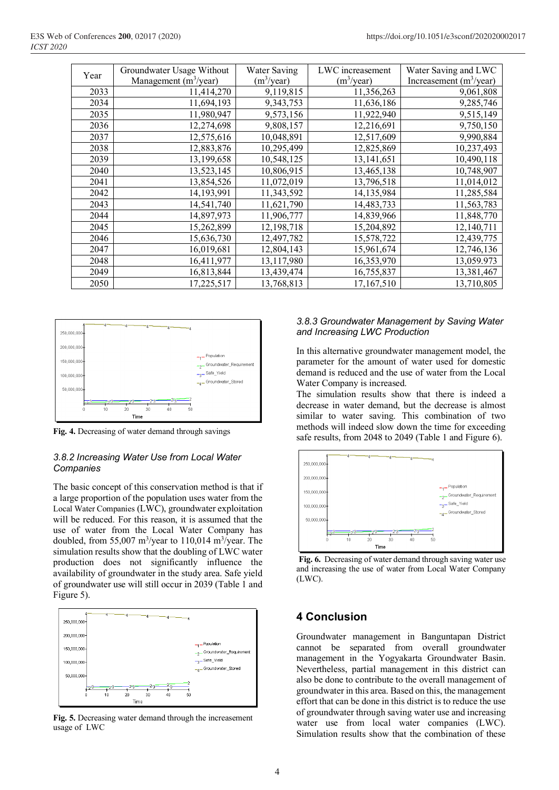| Year | Groundwater Usage Without | <b>Water Saving</b>    | LWC increasement | Water Saving and LWC       |
|------|---------------------------|------------------------|------------------|----------------------------|
|      | Management $(m^3$ /year)  | (m <sup>3</sup> /year) | $(m^3$ /year)    | Increasement $(m^3$ /year) |
| 2033 | 11,414,270                | 9,119,815              | 11,356,263       | 9,061,808                  |
| 2034 | 11,694,193                | 9,343,753              | 11,636,186       | 9,285,746                  |
| 2035 | 11,980,947                | 9,573,156              | 11,922,940       | 9,515,149                  |
| 2036 | 12,274,698                | 9,808,157              | 12,216,691       | 9,750,150                  |
| 2037 | 12,575,616                | 10,048,891             | 12,517,609       | 9,990,884                  |
| 2038 | 12,883,876                | 10,295,499             | 12,825,869       | 10,237,493                 |
| 2039 | 13,199,658                | 10,548,125             | 13,141,651       | 10,490,118                 |
| 2040 | 13,523,145                | 10,806,915             | 13,465,138       | 10,748,907                 |
| 2041 | 13,854,526                | 11,072,019             | 13,796,518       | 11,014,012                 |
| 2042 | 14,193,991                | 11,343,592             | 14,135,984       | 11,285,584                 |
| 2043 | 14,541,740                | 11,621,790             | 14,483,733       | 11,563,783                 |
| 2044 | 14,897,973                | 11,906,777             | 14,839,966       | 11,848,770                 |
| 2045 | 15,262,899                | 12, 198, 718           | 15,204,892       | 12,140,711                 |
| 2046 | 15,636,730                | 12,497,782             | 15,578,722       | 12,439,775                 |
| 2047 | 16,019,681                | 12,804,143             | 15,961,674       | 12,746,136                 |
| 2048 | 16,411,977                | 13,117,980             | 16,353,970       | 13,059.973                 |
| 2049 | 16,813,844                | 13,439,474             | 16,755,837       | 13,381,467                 |
| 2050 | 17,225,517                | 13,768,813             | 17,167,510       | 13,710,805                 |



**Fig. 4.** Decreasing of water demand through savings

#### *3.8.2 Increasing Water Use from Local Water Companies*

The basic concept of this conservation method is that if a large proportion of the population uses water from the Local Water Companies (LWC), groundwater exploitation will be reduced. For this reason, it is assumed that the use of water from the Local Water Company has doubled, from 55,007  $\text{m}^3/\text{year}$  to 110,014  $\text{m}^3/\text{year}$ . The simulation results show that the doubling of LWC water production does not significantly influence the availability of groundwater in the study area. Safe yield of groundwater use will still occur in 2039 (Table 1 and Figure 5).



**Fig. 5.** Decreasing water demand through the increasement usage of LWC

#### *3.8.3 Groundwater Management by Saving Water and Increasing LWC Production*

In this alternative groundwater management model, the parameter for the amount of water used for domestic demand is reduced and the use of water from the Local Water Company is increased.

The simulation results show that there is indeed a decrease in water demand, but the decrease is almost similar to water saving. This combination of two methods will indeed slow down the time for exceeding safe results, from 2048 to 2049 (Table 1 and Figure 6).



**Fig. 6.** Decreasing of water demand through saving water use and increasing the use of water from Local Water Company (LWC).

# **4 Conclusion**

Groundwater management in Banguntapan District cannot be separated from overall groundwater management in the Yogyakarta Groundwater Basin. Nevertheless, partial management in this district can also be done to contribute to the overall management of groundwater in this area. Based on this, the management effort that can be done in this district is to reduce the use of groundwater through saving water use and increasing water use from local water companies (LWC). Simulation results show that the combination of these